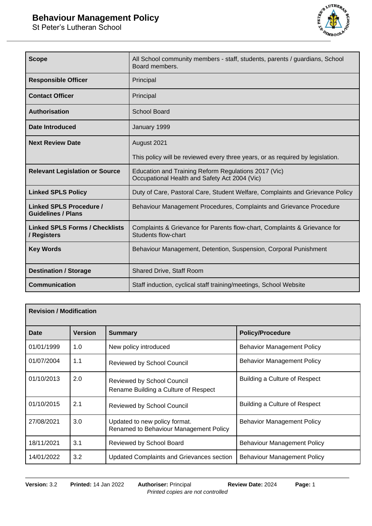

| <b>Scope</b>                                         | All School community members - staff, students, parents / guardians, School<br>Board members.           |
|------------------------------------------------------|---------------------------------------------------------------------------------------------------------|
| <b>Responsible Officer</b>                           | Principal                                                                                               |
| <b>Contact Officer</b>                               | Principal                                                                                               |
| <b>Authorisation</b>                                 | <b>School Board</b>                                                                                     |
| <b>Date Introduced</b>                               | January 1999                                                                                            |
| <b>Next Review Date</b>                              | August 2021                                                                                             |
|                                                      | This policy will be reviewed every three years, or as required by legislation.                          |
| <b>Relevant Legislation or Source</b>                | Education and Training Reform Regulations 2017 (Vic)<br>Occupational Health and Safety Act 2004 (Vic)   |
| <b>Linked SPLS Policy</b>                            | Duty of Care, Pastoral Care, Student Welfare, Complaints and Grievance Policy                           |
| Linked SPLS Procedure /<br><b>Guidelines / Plans</b> | Behaviour Management Procedures, Complaints and Grievance Procedure                                     |
| <b>Linked SPLS Forms / Checklists</b><br>/ Registers | Complaints & Grievance for Parents flow-chart, Complaints & Grievance for<br><b>Students flow-chart</b> |
| <b>Key Words</b>                                     | Behaviour Management, Detention, Suspension, Corporal Punishment                                        |
| <b>Destination / Storage</b>                         | Shared Drive, Staff Room                                                                                |
| <b>Communication</b>                                 | Staff induction, cyclical staff training/meetings, School Website                                       |

| <b>Revision / Modification</b> |         |                                                                           |                                    |
|--------------------------------|---------|---------------------------------------------------------------------------|------------------------------------|
| Date                           | Version | <b>Summary</b>                                                            | <b>Policy/Procedure</b>            |
| 01/01/1999                     | 1.0     | New policy introduced                                                     | <b>Behavior Management Policy</b>  |
| 01/07/2004                     | 1.1     | <b>Reviewed by School Council</b>                                         | <b>Behavior Management Policy</b>  |
| 01/10/2013                     | 2.0     | <b>Reviewed by School Council</b><br>Rename Building a Culture of Respect | Building a Culture of Respect      |
| 01/10/2015                     | 2.1     | <b>Reviewed by School Council</b>                                         | Building a Culture of Respect      |
| 27/08/2021                     | 3.0     | Updated to new policy format.<br>Renamed to Behaviour Management Policy   | <b>Behavior Management Policy</b>  |
| 18/11/2021                     | 3.1     | Reviewed by School Board                                                  | <b>Behaviour Management Policy</b> |
| 14/01/2022                     | 3.2     | <b>Updated Complaints and Grievances section</b>                          | <b>Behaviour Management Policy</b> |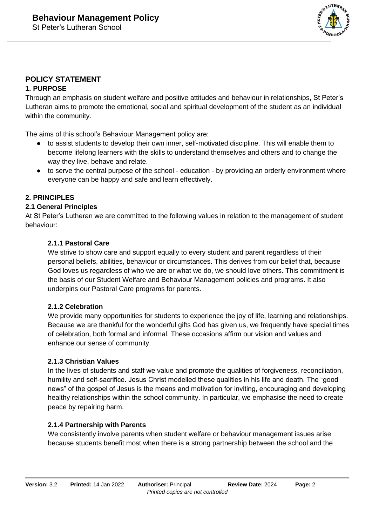

### **POLICY STATEMENT 1. PURPOSE**

Through an emphasis on student welfare and positive attitudes and behaviour in relationships, St Peter's Lutheran aims to promote the emotional, social and spiritual development of the student as an individual within the community.

The aims of this school's Behaviour Management policy are:

- to assist students to develop their own inner, self-motivated discipline. This will enable them to become lifelong learners with the skills to understand themselves and others and to change the way they live, behave and relate.
- to serve the central purpose of the school education by providing an orderly environment where everyone can be happy and safe and learn effectively.

### **2. PRINCIPLES**

### **2.1 General Principles**

At St Peter's Lutheran we are committed to the following values in relation to the management of student behaviour:

### **2.1.1 Pastoral Care**

We strive to show care and support equally to every student and parent regardless of their personal beliefs, abilities, behaviour or circumstances. This derives from our belief that, because God loves us regardless of who we are or what we do, we should love others. This commitment is the basis of our Student Welfare and Behaviour Management policies and programs. It also underpins our Pastoral Care programs for parents.

### **2.1.2 Celebration**

We provide many opportunities for students to experience the joy of life, learning and relationships. Because we are thankful for the wonderful gifts God has given us, we frequently have special times of celebration, both formal and informal. These occasions affirm our vision and values and enhance our sense of community.

### **2.1.3 Christian Values**

In the lives of students and staff we value and promote the qualities of forgiveness, reconciliation, humility and self-sacrifice. Jesus Christ modelled these qualities in his life and death. The "good news" of the gospel of Jesus is the means and motivation for inviting, encouraging and developing healthy relationships within the school community. In particular, we emphasise the need to create peace by repairing harm.

### **2.1.4 Partnership with Parents**

We consistently involve parents when student welfare or behaviour management issues arise because students benefit most when there is a strong partnership between the school and the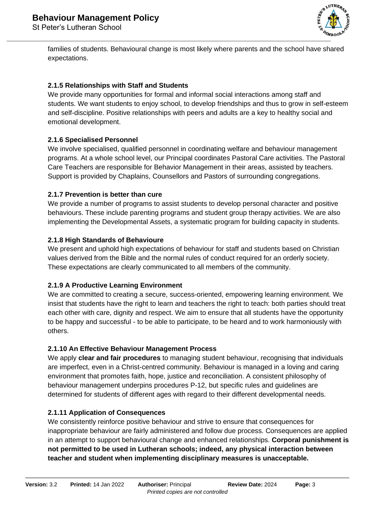

families of students. Behavioural change is most likely where parents and the school have shared expectations.

### **2.1.5 Relationships with Staff and Students**

We provide many opportunities for formal and informal social interactions among staff and students. We want students to enjoy school, to develop friendships and thus to grow in self-esteem and self-discipline. Positive relationships with peers and adults are a key to healthy social and emotional development.

### **2.1.6 Specialised Personnel**

We involve specialised, qualified personnel in coordinating welfare and behaviour management programs. At a whole school level, our Principal coordinates Pastoral Care activities. The Pastoral Care Teachers are responsible for Behavior Management in their areas, assisted by teachers. Support is provided by Chaplains, Counsellors and Pastors of surrounding congregations.

### **2.1.7 Prevention is better than cure**

We provide a number of programs to assist students to develop personal character and positive behaviours. These include parenting programs and student group therapy activities. We are also implementing the Developmental Assets, a systematic program for building capacity in students.

### **2.1.8 High Standards of Behavioure**

We present and uphold high expectations of behaviour for staff and students based on Christian values derived from the Bible and the normal rules of conduct required for an orderly society. These expectations are clearly communicated to all members of the community.

### **2.1.9 A Productive Learning Environment**

We are committed to creating a secure, success-oriented, empowering learning environment. We insist that students have the right to learn and teachers the right to teach: both parties should treat each other with care, dignity and respect. We aim to ensure that all students have the opportunity to be happy and successful - to be able to participate, to be heard and to work harmoniously with others.

### **2.1.10 An Effective Behaviour Management Process**

We apply **clear and fair procedures** to managing student behaviour, recognising that individuals are imperfect, even in a Christ-centred community. Behaviour is managed in a loving and caring environment that promotes faith, hope, justice and reconciliation. A consistent philosophy of behaviour management underpins procedures P-12, but specific rules and guidelines are determined for students of different ages with regard to their different developmental needs.

### **2.1.11 Application of Consequences**

We consistently reinforce positive behaviour and strive to ensure that consequences for inappropriate behaviour are fairly administered and follow due process. Consequences are applied in an attempt to support behavioural change and enhanced relationships. **Corporal punishment is not permitted to be used in Lutheran schools; indeed, any physical interaction between teacher and student when implementing disciplinary measures is unacceptable.**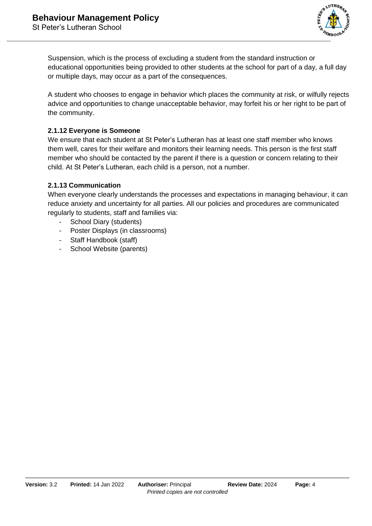

Suspension, which is the process of excluding a student from the standard instruction or educational opportunities being provided to other students at the school for part of a day, a full day or multiple days, may occur as a part of the consequences.

A student who chooses to engage in behavior which places the community at risk, or wilfully rejects advice and opportunities to change unacceptable behavior, may forfeit his or her right to be part of the community.

### **2.1.12 Everyone is Someone**

We ensure that each student at St Peter's Lutheran has at least one staff member who knows them well, cares for their welfare and monitors their learning needs. This person is the first staff member who should be contacted by the parent if there is a question or concern relating to their child. At St Peter's Lutheran, each child is a person, not a number.

### **2.1.13 Communication**

When everyone clearly understands the processes and expectations in managing behaviour, it can reduce anxiety and uncertainty for all parties. All our policies and procedures are communicated regularly to students, staff and families via:

- School Diary (students)
- Poster Displays (in classrooms)
- Staff Handbook (staff)
- School Website (parents)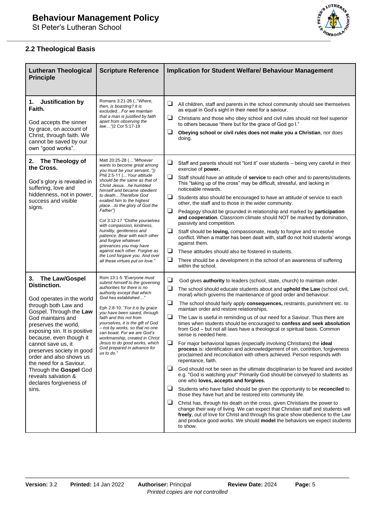

### **2.2 Theological Basis**

| <b>Lutheran Theological</b><br><b>Principle</b>                                                                                                                                                                                                                                                                                                                                                                            | <b>Scripture Reference</b>                                                                                                                                                                                                                                                                                                                                                                                                                                                                                                                                                                                | <b>Implication for Student Welfare/ Behaviour Management</b>                                                                                                                                                                                                                                                                                                                                                                                                                                                                                                                                                                                                                                                                                                                                                                                                                                                                                                                                                                                                                                                                                                                                                                                                                                                                                                                                                                                                                                                                                                                                                                                        |  |  |
|----------------------------------------------------------------------------------------------------------------------------------------------------------------------------------------------------------------------------------------------------------------------------------------------------------------------------------------------------------------------------------------------------------------------------|-----------------------------------------------------------------------------------------------------------------------------------------------------------------------------------------------------------------------------------------------------------------------------------------------------------------------------------------------------------------------------------------------------------------------------------------------------------------------------------------------------------------------------------------------------------------------------------------------------------|-----------------------------------------------------------------------------------------------------------------------------------------------------------------------------------------------------------------------------------------------------------------------------------------------------------------------------------------------------------------------------------------------------------------------------------------------------------------------------------------------------------------------------------------------------------------------------------------------------------------------------------------------------------------------------------------------------------------------------------------------------------------------------------------------------------------------------------------------------------------------------------------------------------------------------------------------------------------------------------------------------------------------------------------------------------------------------------------------------------------------------------------------------------------------------------------------------------------------------------------------------------------------------------------------------------------------------------------------------------------------------------------------------------------------------------------------------------------------------------------------------------------------------------------------------------------------------------------------------------------------------------------------------|--|--|
| Justification by<br>1.<br>Faith.<br>God accepts the sinner<br>by grace, on account of<br>Christ, through faith. We<br>cannot be saved by our<br>own "good works".                                                                                                                                                                                                                                                          | Romans 3:21-26 (" Where,<br>then, is boasting? It is<br>excludedFor we maintain<br>that a man is justified by faith<br>apart from observing the<br>law")2 Cor 5:17-19                                                                                                                                                                                                                                                                                                                                                                                                                                     | ❏<br>All children, staff and parents in the school community should see themselves<br>as equal in God's sight in their need for a saviour.<br>⊔<br>Christians and those who obey school and civil rules should not feel superior<br>to others because "there but for the grace of God go I."<br>❏<br>Obeying school or civil rules does not make you a Christian, nor does<br>doing.                                                                                                                                                                                                                                                                                                                                                                                                                                                                                                                                                                                                                                                                                                                                                                                                                                                                                                                                                                                                                                                                                                                                                                                                                                                                |  |  |
| The Theology of<br>2.<br>the Cross.<br>God's glory is revealed in<br>suffering, love and<br>hiddenness, not in power,<br>success and visible<br>signs.                                                                                                                                                                                                                                                                     | Matt 20:25-28 ("Whoever<br>wants to become great among<br>you must be your servant"))<br>Phil 2:5-11 ( Your attitude<br>should be the same as that of<br>Christ Jesushe humbled<br>himself and became obedient<br>to deathTherefore God<br>exalted him to the highest<br>placeto the glory of God the<br>Father")<br>Col 3:12-17 "Clothe yourselves<br>with compassion, kindness,<br>humility, gentleness and<br>patience. Bear with each other<br>and forgive whatever<br>grievances you may have<br>against each other. Forgive as<br>the Lord forgave you. And over<br>all these virtues put on love." | ⊔<br>Staff and parents should not "lord it" over students – being very careful in their<br>exercise of <b>power.</b><br>❏<br>Staff should have an attitude of service to each other and to parents/students.<br>This "taking up of the cross" may be difficult, stressful, and lacking in<br>noticeable rewards.<br>❏<br>Students also should be encouraged to have an attitude of service to each<br>other, the staff and to those in the wider community.<br>⊔<br>Pedagogy should be grounded in relationship and marked by participation<br>and cooperation. Classroom climate should NOT be marked by domination,<br>passivity and competition.<br>⊔<br>Staff should be <b>loving</b> , compassionate, ready to forgive and to resolve<br>conflict. When a matter has been dealt with, staff do not hold students' wrongs<br>against them.<br>❏<br>These attitudes should also be fostered in students.<br>❏<br>There should be a development in the school of an awareness of suffering<br>within the school.                                                                                                                                                                                                                                                                                                                                                                                                                                                                                                                                                                                                                                  |  |  |
| 3.<br>The Law/Gospel<br>Distinction.<br>God operates in the world<br>through both Law and<br>Gospel. Through the Law<br>God maintains and<br>preserves the world,<br>exposing sin. It is positive<br>because, even though it<br>cannot save us, it<br>preserves society in good<br>order and also shows us<br>the need for a Saviour.<br>Through the Gospel God<br>reveals salvation &<br>declares forgiveness of<br>sins. | Rom 13:1-5 "Everyone must<br>submit himself to the governing<br>authorities for there is no<br>authority except that which<br>God has established"<br>Eph 2:8-10: "For it is by grace<br>you have been saved, through<br>faith and this not from<br>yourselves, it is the gift of God<br>- not by works, so that no one<br>can boast. For we are God's<br>workmanship, created in Christ<br>Jesus to do good works, which<br>God prepared in advance for<br>us to do."                                                                                                                                    | $\Box$<br>God gives <b>authority</b> to leaders (school, state, church) to maintain order.<br>❏<br>The school should educate students about and uphold the Law (school civil,<br>moral) which governs the maintenance of good order and behaviour.<br>❏<br>The school should fairly apply consequences, restraints, punishment etc. to<br>maintain order and restore relationships.<br>❏<br>The Law is useful in reminding us of our need for a Saviour. Thus there are<br>times when students should be encouraged to confess and seek absolution<br>from God – but not all laws have a theological or spiritual basis. Common<br>sense is needed here.<br>⊔<br>For major behavioral lapses (especially involving Christians) the ideal<br><b>process</b> is: identification and acknowledgement of sin, contrition, forgiveness<br>proclaimed and reconciliation with others achieved. Person responds with<br>repentance, faith.<br>⊔<br>God should not be seen as the ultimate disciplinarian to be feared and avoided<br>e.g. "God is watching you!" Primarily God should be conveyed to students as<br>one who loves, accepts and forgives.<br>⊔<br>Students who have failed should be given the opportunity to be reconciled to<br>those they have hurt and be restored into community life.<br>⊔<br>Christ has, through his death on the cross, given Christians the power to<br>change their way of living. We can expect that Christian staff and students will<br>freely, out of love for Christ and through his grace show obedience to the Law<br>and produce good works. We should model the behaviors we expect students<br>to show. |  |  |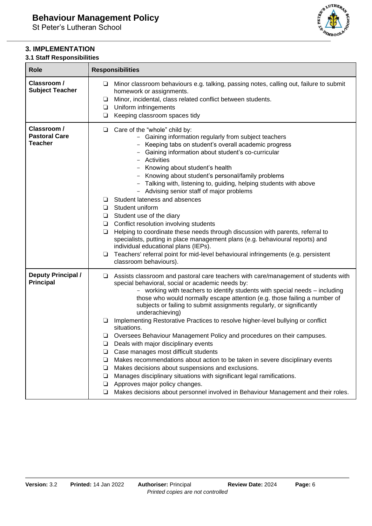### **3. IMPLEMENTATION**

# **3.1 Staff Responsibilities**

| <b>Role</b>                                           | <b>Responsibilities</b>                                                                                                                                                                                                                                                                                                                                                                                                                                                                                                                                                                                                                                                                                                                                                                                                                                                                                                                                                                                                                      |  |  |
|-------------------------------------------------------|----------------------------------------------------------------------------------------------------------------------------------------------------------------------------------------------------------------------------------------------------------------------------------------------------------------------------------------------------------------------------------------------------------------------------------------------------------------------------------------------------------------------------------------------------------------------------------------------------------------------------------------------------------------------------------------------------------------------------------------------------------------------------------------------------------------------------------------------------------------------------------------------------------------------------------------------------------------------------------------------------------------------------------------------|--|--|
| Classroom /<br><b>Subject Teacher</b>                 | Minor classroom behaviours e.g. talking, passing notes, calling out, failure to submit<br>$\Box$<br>homework or assignments.<br>Minor, incidental, class related conflict between students.<br>⊔<br>Uniform infringements<br>⊔<br>Keeping classroom spaces tidy<br>$\Box$                                                                                                                                                                                                                                                                                                                                                                                                                                                                                                                                                                                                                                                                                                                                                                    |  |  |
| Classroom /<br><b>Pastoral Care</b><br><b>Teacher</b> | Care of the "whole" child by:<br>⊔<br>- Gaining information regularly from subject teachers<br>- Keeping tabs on student's overall academic progress<br>Gaining information about student's co-curricular<br>Activities<br>Knowing about student's health<br>Knowing about student's personal/family problems<br>- Talking with, listening to, guiding, helping students with above<br>- Advising senior staff of major problems<br>Student lateness and absences<br>ப<br>Student uniform<br>$\Box$<br>Student use of the diary<br>⊔<br>Conflict resolution involving students<br>❏<br>Helping to coordinate these needs through discussion with parents, referral to<br>$\Box$<br>specialists, putting in place management plans (e.g. behavioural reports) and<br>individual educational plans (IEPs).<br>Teachers' referral point for mid-level behavioural infringements (e.g. persistent<br>❏<br>classroom behaviours).                                                                                                                 |  |  |
| <b>Deputy Principal /</b><br><b>Principal</b>         | Assists classroom and pastoral care teachers with care/management of students with<br>⊔<br>special behavioral, social or academic needs by:<br>- working with teachers to identify students with special needs - including<br>those who would normally escape attention (e.g. those failing a number of<br>subjects or failing to submit assignments regularly, or significantly<br>underachieving)<br>Implementing Restorative Practices to resolve higher-level bullying or conflict<br>⊔<br>situations.<br>Oversees Behaviour Management Policy and procedures on their campuses.<br>Deals with major disciplinary events<br>❏<br>Case manages most difficult students<br>Makes recommendations about action to be taken in severe disciplinary events<br>⊔<br>Makes decisions about suspensions and exclusions.<br>❏<br>Manages disciplinary situations with significant legal ramifications.<br>$\Box$<br>Approves major policy changes.<br>❏<br>Makes decisions about personnel involved in Behaviour Management and their roles.<br>❏ |  |  |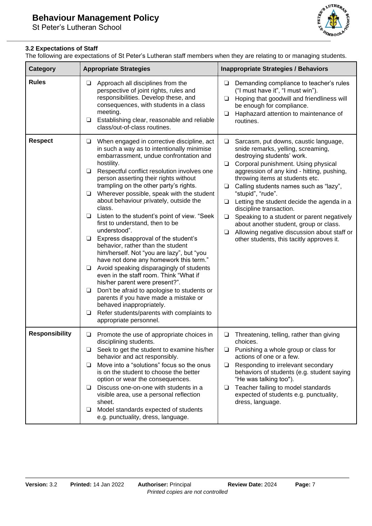

### **3.2 Expectations of Staff**

The following are expectations of St Peter's Lutheran staff members when they are relating to or managing students.

| <b>Category</b>       | <b>Appropriate Strategies</b>                                                                                                                                                                                                                                                                                                                                                                                                                                                                                                                                                                                                                                                                                                                                                                                                                                                                                                                                                                                                                       | <b>Inappropriate Strategies / Behaviors</b>                                                                                                                                                                                                                                                                                                                                                                                                                                                                                                                                                                |
|-----------------------|-----------------------------------------------------------------------------------------------------------------------------------------------------------------------------------------------------------------------------------------------------------------------------------------------------------------------------------------------------------------------------------------------------------------------------------------------------------------------------------------------------------------------------------------------------------------------------------------------------------------------------------------------------------------------------------------------------------------------------------------------------------------------------------------------------------------------------------------------------------------------------------------------------------------------------------------------------------------------------------------------------------------------------------------------------|------------------------------------------------------------------------------------------------------------------------------------------------------------------------------------------------------------------------------------------------------------------------------------------------------------------------------------------------------------------------------------------------------------------------------------------------------------------------------------------------------------------------------------------------------------------------------------------------------------|
| <b>Rules</b>          | Approach all disciplines from the<br>❏<br>perspective of joint rights, rules and<br>responsibilities. Develop these, and<br>consequences, with students in a class<br>meeting.<br>Establishing clear, reasonable and reliable<br>$\Box$<br>class/out-of-class routines.                                                                                                                                                                                                                                                                                                                                                                                                                                                                                                                                                                                                                                                                                                                                                                             | Demanding compliance to teacher's rules<br>❏<br>("I must have it", "I must win").<br>Hoping that goodwill and friendliness will<br>❏<br>be enough for compliance.<br>Haphazard attention to maintenance of<br>❏<br>routines.                                                                                                                                                                                                                                                                                                                                                                               |
| <b>Respect</b>        | When engaged in corrective discipline, act<br>❏<br>in such a way as to intentionally minimise<br>embarrassment, undue confrontation and<br>hostility.<br>Respectful conflict resolution involves one<br>$\Box$<br>person asserting their rights without<br>trampling on the other party's rights.<br>Wherever possible, speak with the student<br>$\Box$<br>about behaviour privately, outside the<br>class.<br>Listen to the student's point of view. "Seek<br>$\Box$<br>first to understand, then to be<br>understood".<br>Express disapproval of the student's<br>❏<br>behavior, rather than the student<br>him/herself. Not "you are lazy", but "you<br>have not done any homework this term."<br>Avoid speaking disparagingly of students<br>$\Box$<br>even in the staff room. Think "What if<br>his/her parent were present?".<br>Don't be afraid to apologise to students or<br>$\Box$<br>parents if you have made a mistake or<br>behaved inappropriately.<br>Refer students/parents with complaints to<br>$\Box$<br>appropriate personnel. | Sarcasm, put downs, caustic language,<br>❏<br>snide remarks, yelling, screaming,<br>destroying students' work.<br>Corporal punishment. Using physical<br>$\Box$<br>aggression of any kind - hitting, pushing,<br>throwing items at students etc.<br>Calling students names such as "lazy",<br>$\Box$<br>"stupid", "rude".<br>Letting the student decide the agenda in a<br>❏<br>discipline transaction.<br>Speaking to a student or parent negatively<br>□<br>about another student, group or class.<br>Allowing negative discussion about staff or<br>$\Box$<br>other students, this tacitly approves it. |
| <b>Responsibility</b> | Promote the use of appropriate choices in<br>❏<br>disciplining students.<br>Seek to get the student to examine his/her<br>⊔<br>behavior and act responsibly.<br>Move into a "solutions" focus so the onus<br>⊔<br>is on the student to choose the better<br>option or wear the consequences.<br>Discuss one-on-one with students in a<br>⊔<br>visible area, use a personal reflection<br>sheet.<br>Model standards expected of students<br>⊔<br>e.g. punctuality, dress, language.                                                                                                                                                                                                                                                                                                                                                                                                                                                                                                                                                                  | Threatening, telling, rather than giving<br>⊔<br>choices.<br>Punishing a whole group or class for<br>❏<br>actions of one or a few.<br>Responding to irrelevant secondary<br>❏<br>behaviors of students (e.g. student saying<br>"He was talking too").<br>Teacher failing to model standards<br>⊔<br>expected of students e.g. punctuality,<br>dress, language.                                                                                                                                                                                                                                             |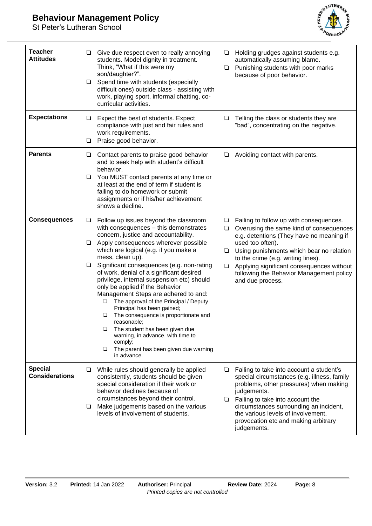## **Behaviour Management Policy**

St Peter's Lutheran School



| <b>Teacher</b><br><b>Attitudes</b>      | Give due respect even to really annoying<br>$\Box$<br>students. Model dignity in treatment.<br>Think, "What if this were my<br>son/daughter?".<br>Spend time with students (especially<br>❏<br>difficult ones) outside class - assisting with<br>work, playing sport, informal chatting, co-<br>curricular activities.                                                                                                                                                                                                                                                                                                                                                                                                                                         | Holding grudges against students e.g.<br>$\Box$<br>automatically assuming blame.<br>Punishing students with poor marks<br>❏<br>because of poor behavior.                                                                                                                                                                                                                        |
|-----------------------------------------|----------------------------------------------------------------------------------------------------------------------------------------------------------------------------------------------------------------------------------------------------------------------------------------------------------------------------------------------------------------------------------------------------------------------------------------------------------------------------------------------------------------------------------------------------------------------------------------------------------------------------------------------------------------------------------------------------------------------------------------------------------------|---------------------------------------------------------------------------------------------------------------------------------------------------------------------------------------------------------------------------------------------------------------------------------------------------------------------------------------------------------------------------------|
| <b>Expectations</b>                     | Expect the best of students. Expect<br>$\Box$<br>compliance with just and fair rules and<br>work requirements.<br>Praise good behavior.<br>$\Box$                                                                                                                                                                                                                                                                                                                                                                                                                                                                                                                                                                                                              | $\Box$<br>Telling the class or students they are<br>"bad", concentrating on the negative.                                                                                                                                                                                                                                                                                       |
| <b>Parents</b>                          | Contact parents to praise good behavior<br>❏<br>and to seek help with student's difficult<br>behavior.<br>You MUST contact parents at any time or<br>❏<br>at least at the end of term if student is<br>failing to do homework or submit<br>assignments or if his/her achievement<br>shows a decline.                                                                                                                                                                                                                                                                                                                                                                                                                                                           | Avoiding contact with parents.<br>❏                                                                                                                                                                                                                                                                                                                                             |
| <b>Consequences</b>                     | Follow up issues beyond the classroom<br>$\Box$<br>with consequences - this demonstrates<br>concern, justice and accountability.<br>Apply consequences wherever possible<br>❏<br>which are logical (e.g. if you make a<br>mess, clean up).<br>Significant consequences (e.g. non-rating<br>❏<br>of work, denial of a significant desired<br>privilege, internal suspension etc) should<br>only be applied if the Behavior<br>Management Steps are adhered to and:<br>The approval of the Principal / Deputy<br>□<br>Principal has been gained;<br>The consequence is proportionate and<br>⊔<br>reasonable;<br>The student has been given due<br>⊔<br>warning, in advance, with time to<br>comply;<br>The parent has been given due warning<br>❏<br>in advance. | Failing to follow up with consequences.<br>❏<br>Overusing the same kind of consequences<br>$\Box$<br>e.g. detentions (They have no meaning if<br>used too often).<br>Using punishments which bear no relation<br>❏<br>to the crime (e.g. writing lines).<br>$\Box$<br>Applying significant consequences without<br>following the Behavior Management policy<br>and due process. |
| <b>Special</b><br><b>Considerations</b> | While rules should generally be applied<br>$\Box$<br>consistently, students should be given<br>special consideration if their work or<br>behavior declines because of<br>circumstances beyond their control.<br>Make judgements based on the various<br>$\Box$<br>levels of involvement of students.                                                                                                                                                                                                                                                                                                                                                                                                                                                           | Failing to take into account a student's<br>$\Box$<br>special circumstances (e.g. illness, family<br>problems, other pressures) when making<br>judgements.<br>Failing to take into account the<br>$\Box$<br>circumstances surrounding an incident,<br>the various levels of involvement,<br>provocation etc and making arbitrary<br>judgements.                                 |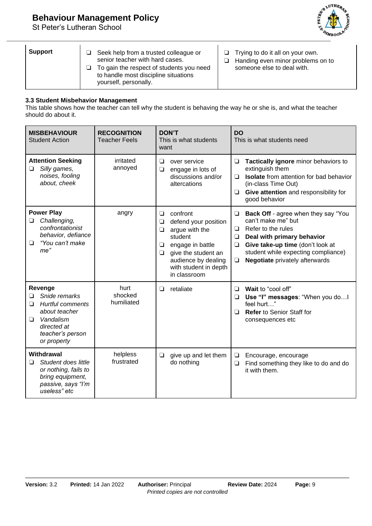# **Behaviour Management Policy**

St Peter's Lutheran School



| <b>Support</b> | Seek help from a trusted colleague or<br>senior teacher with hard cases.<br>To gain the respect of students you need<br>ப<br>to handle most discipline situations<br>yourself, personally. | Trying to do it all on your own.<br>Handing even minor problems on to<br>⊐<br>someone else to deal with. |
|----------------|--------------------------------------------------------------------------------------------------------------------------------------------------------------------------------------------|----------------------------------------------------------------------------------------------------------|
|----------------|--------------------------------------------------------------------------------------------------------------------------------------------------------------------------------------------|----------------------------------------------------------------------------------------------------------|

#### **3.3 Student Misbehavior Management**

This table shows how the teacher can tell why the student is behaving the way he or she is, and what the teacher should do about it.

| <b>MISBEHAVIOUR</b><br><b>Student Action</b>                                                                                                                 | <b>RECOGNITION</b><br><b>Teacher Feels</b> | <b>DON'T</b><br>This is what students<br>want                                                                                                                                                                    | <b>DO</b><br>This is what students need                                                                                                                                                                                                                                     |
|--------------------------------------------------------------------------------------------------------------------------------------------------------------|--------------------------------------------|------------------------------------------------------------------------------------------------------------------------------------------------------------------------------------------------------------------|-----------------------------------------------------------------------------------------------------------------------------------------------------------------------------------------------------------------------------------------------------------------------------|
| <b>Attention Seeking</b><br>$\Box$<br>Silly games,<br>noises, fooling<br>about, cheek                                                                        | irritated<br>annoyed                       | ◘<br>over service<br>engage in lots of<br>$\Box$<br>discussions and/or<br>altercations                                                                                                                           | Tactically ignore minor behaviors to<br>$\Box$<br>extinguish them<br><b>Isolate</b> from attention for bad behavior<br>◻<br>(in-class Time Out)<br>Give attention and responsibility for<br>❏<br>good behavior                                                              |
| <b>Power Play</b><br>Challenging,<br>❏<br>confrontationist<br>behavior, defiance<br>"You can't make<br>❏<br>me"                                              | angry                                      | ◘<br>confront<br>defend your position<br>$\Box$<br>argue with the<br>$\Box$<br>student<br>engage in battle<br>❏<br>give the student an<br>$\Box$<br>audience by dealing<br>with student in depth<br>in classroom | <b>Back Off</b> - agree when they say "You<br>$\Box$<br>can't make me" but<br>Refer to the rules<br>❏<br>Deal with primary behavior<br>❏<br>Give take-up time (don't look at<br>❏<br>student while expecting compliance)<br><b>Negotiate</b> privately afterwards<br>$\Box$ |
| Revenge<br>Snide remarks<br>$\Box$<br><b>Hurtful comments</b><br>$\Box$<br>about teacher<br>Vandalism<br>◻<br>directed at<br>teacher's person<br>or property | hurt<br>shocked<br>humiliated              | retaliate<br>$\Box$                                                                                                                                                                                              | Wait to "cool off"<br>◘<br>Use "I" messages: "When you do!<br>❏<br>feel hurt"<br>Refer to Senior Staff for<br>❏<br>consequences etc                                                                                                                                         |
| <b>Withdrawal</b><br>Student does little<br>◻<br>or nothing, fails to<br>bring equipment,<br>passive, says "I'm<br>useless" etc                              | helpless<br>frustrated                     | give up and let them<br>$\Box$<br>do nothing                                                                                                                                                                     | Encourage, encourage<br>$\Box$<br>Find something they like to do and do<br>$\Box$<br>it with them.                                                                                                                                                                          |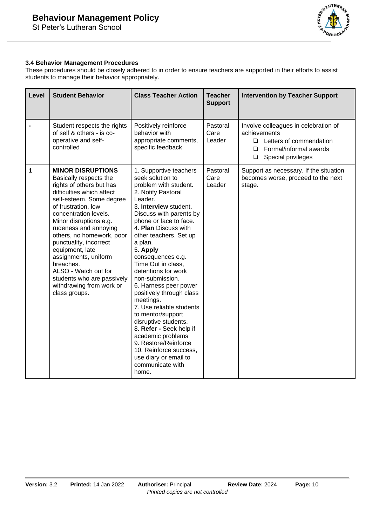

### **3.4 Behavior Management Procedures**

These procedures should be closely adhered to in order to ensure teachers are supported in their efforts to assist students to manage their behavior appropriately.

| Level        | <b>Student Behavior</b>                                                                                                                                                                                                                                                                                                                                                                                                                                      | <b>Class Teacher Action</b>                                                                                                                                                                                                                                                                                                                                                                                                                                                                                                                                                                                                                         | <b>Teacher</b><br><b>Support</b> | <b>Intervention by Teacher Support</b>                                                                                                                   |
|--------------|--------------------------------------------------------------------------------------------------------------------------------------------------------------------------------------------------------------------------------------------------------------------------------------------------------------------------------------------------------------------------------------------------------------------------------------------------------------|-----------------------------------------------------------------------------------------------------------------------------------------------------------------------------------------------------------------------------------------------------------------------------------------------------------------------------------------------------------------------------------------------------------------------------------------------------------------------------------------------------------------------------------------------------------------------------------------------------------------------------------------------------|----------------------------------|----------------------------------------------------------------------------------------------------------------------------------------------------------|
|              | Student respects the rights<br>of self & others - is co-<br>operative and self-<br>controlled                                                                                                                                                                                                                                                                                                                                                                | Positively reinforce<br>behavior with<br>appropriate comments,<br>specific feedback                                                                                                                                                                                                                                                                                                                                                                                                                                                                                                                                                                 | Pastoral<br>Care<br>Leader       | Involve colleagues in celebration of<br>achievements<br>Letters of commendation<br>$\Box$<br>Formal/informal awards<br>◻<br>Special privileges<br>$\Box$ |
| $\mathbf{1}$ | <b>MINOR DISRUPTIONS</b><br>Basically respects the<br>rights of others but has<br>difficulties which affect<br>self-esteem. Some degree<br>of frustration, low<br>concentration levels.<br>Minor disruptions e.g.<br>rudeness and annoying<br>others, no homework, poor<br>punctuality, incorrect<br>equipment, late<br>assignments, uniform<br>breaches.<br>ALSO - Watch out for<br>students who are passively<br>withdrawing from work or<br>class groups. | 1. Supportive teachers<br>seek solution to<br>problem with student.<br>2. Notify Pastoral<br>Leader.<br>3. Interview student.<br>Discuss with parents by<br>phone or face to face.<br>4. Plan Discuss with<br>other teachers. Set up<br>a plan.<br>5. Apply<br>consequences e.g.<br>Time Out in class,<br>detentions for work<br>non-submission.<br>6. Harness peer power<br>positively through class<br>meetings.<br>7. Use reliable students<br>to mentor/support<br>disruptive students.<br>8. Refer - Seek help if<br>academic problems<br>9. Restore/Reinforce<br>10. Reinforce success,<br>use diary or email to<br>communicate with<br>home. | Pastoral<br>Care<br>Leader       | Support as necessary. If the situation<br>becomes worse, proceed to the next<br>stage.                                                                   |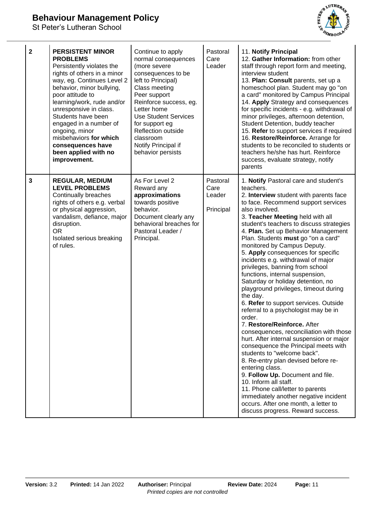## **Behaviour Management Policy**

St Peter's Lutheran School



| $\overline{\mathbf{2}}$ | <b>PERSISTENT MINOR</b><br><b>PROBLEMS</b><br>Persistently violates the<br>rights of others in a minor<br>way, eg. Continues Level 2<br>behavior, minor bullying,<br>poor attitude to<br>learning/work, rude and/or<br>unresponsive in class.<br>Students have been<br>engaged in a number of<br>ongoing, minor<br>misbehaviors for which<br>consequences have<br>been applied with no<br>improvement. | Continue to apply<br>normal consequences<br>(more severe<br>consequences to be<br>left to Principal)<br>Class meeting<br>Peer support<br>Reinforce success, eg.<br>Letter home<br><b>Use Student Services</b><br>for support eg<br><b>Reflection outside</b><br>classroom<br>Notify Principal if<br>behavior persists | Pastoral<br>Care<br>Leader              | 11. Notify Principal<br>12. Gather Information: from other<br>staff through report form and meeting,<br>interview student<br>13. Plan: Consult parents, set up a<br>homeschool plan. Student may go "on<br>a card" monitored by Campus Principal<br>14. Apply Strategy and consequences<br>for specific incidents - e.g. withdrawal of<br>minor privileges, afternoon detention,<br>Student Detention, buddy teacher<br>15. Refer to support services if required<br>16. Restore/Reinforce. Arrange for<br>students to be reconciled to students or<br>teachers he/she has hurt. Reinforce<br>success, evaluate strategy, notify<br>parents                                                                                                                                                                                                                                                                                                                                                                                                                                                                                                                            |
|-------------------------|--------------------------------------------------------------------------------------------------------------------------------------------------------------------------------------------------------------------------------------------------------------------------------------------------------------------------------------------------------------------------------------------------------|-----------------------------------------------------------------------------------------------------------------------------------------------------------------------------------------------------------------------------------------------------------------------------------------------------------------------|-----------------------------------------|------------------------------------------------------------------------------------------------------------------------------------------------------------------------------------------------------------------------------------------------------------------------------------------------------------------------------------------------------------------------------------------------------------------------------------------------------------------------------------------------------------------------------------------------------------------------------------------------------------------------------------------------------------------------------------------------------------------------------------------------------------------------------------------------------------------------------------------------------------------------------------------------------------------------------------------------------------------------------------------------------------------------------------------------------------------------------------------------------------------------------------------------------------------------|
| $\overline{\mathbf{3}}$ | <b>REGULAR, MEDIUM</b><br><b>LEVEL PROBLEMS</b><br>Continually breaches<br>rights of others e.g. verbal<br>or physical aggression,<br>vandalism, defiance, major<br>disruption.<br><b>OR</b><br>Isolated serious breaking<br>of rules.                                                                                                                                                                 | As For Level 2<br>Reward any<br>approximations<br>towards positive<br>behavior.<br>Document clearly any<br>behavioral breaches for<br>Pastoral Leader /<br>Principal.                                                                                                                                                 | Pastoral<br>Care<br>Leader<br>Principal | 1. Notify Pastoral care and student's<br>teachers.<br>2. Interview student with parents face<br>to face. Recommend support services<br>also involved.<br>3. Teacher Meeting held with all<br>student's teachers to discuss strategies<br>4. Plan. Set up Behavior Management<br>Plan. Students must go "on a card"<br>monitored by Campus Deputy.<br>5. Apply consequences for specific<br>incidents e.g. withdrawal of major<br>privileges, banning from school<br>functions, internal suspension,<br>Saturday or holiday detention, no<br>playground privileges, timeout during<br>the day.<br>6. Refer to support services. Outside<br>referral to a psychologist may be in<br>order.<br>7. Restore/Reinforce. After<br>consequences, reconciliation with those<br>hurt. After internal suspension or major<br>consequence the Principal meets with<br>students to "welcome back".<br>8. Re-entry plan devised before re-<br>entering class.<br>9. Follow Up. Document and file.<br>10. Inform all staff.<br>11. Phone call/letter to parents<br>immediately another negative incident<br>occurs. After one month, a letter to<br>discuss progress. Reward success. |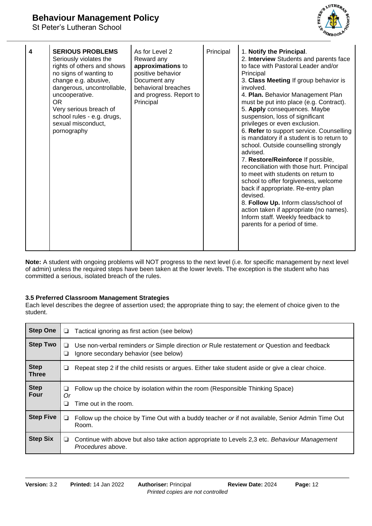

| 4 | <b>SERIOUS PROBLEMS</b><br>Seriously violates the<br>rights of others and shows<br>no signs of wanting to<br>change e.g. abusive,<br>dangerous, uncontrollable,<br>uncooperative.<br><b>OR</b><br>Very serious breach of<br>school rules - e.g. drugs,<br>sexual misconduct,<br>pornography | As for Level 2<br>Reward any<br>approximations to<br>positive behavior<br>Document any<br>behavioral breaches<br>and progress. Report to<br>Principal | Principal | 1. Notify the Principal.<br>2. Interview Students and parents face<br>to face with Pastoral Leader and/or<br>Principal<br>3. Class Meeting If group behavior is<br>involved.<br>4. Plan. Behavior Management Plan<br>must be put into place (e.g. Contract).<br>5. Apply consequences. Maybe<br>suspension, loss of significant<br>privileges or even exclusion.<br>6. Refer to support service. Counselling<br>is mandatory if a student is to return to<br>school. Outside counselling strongly<br>advised.<br>7. Restore/Reinforce If possible,<br>reconciliation with those hurt. Principal<br>to meet with students on return to<br>school to offer forgiveness, welcome<br>back if appropriate. Re-entry plan<br>devised.<br>8. Follow Up. Inform class/school of<br>action taken if appropriate (no names).<br>Inform staff. Weekly feedback to<br>parents for a period of time. |
|---|---------------------------------------------------------------------------------------------------------------------------------------------------------------------------------------------------------------------------------------------------------------------------------------------|-------------------------------------------------------------------------------------------------------------------------------------------------------|-----------|-----------------------------------------------------------------------------------------------------------------------------------------------------------------------------------------------------------------------------------------------------------------------------------------------------------------------------------------------------------------------------------------------------------------------------------------------------------------------------------------------------------------------------------------------------------------------------------------------------------------------------------------------------------------------------------------------------------------------------------------------------------------------------------------------------------------------------------------------------------------------------------------|
|---|---------------------------------------------------------------------------------------------------------------------------------------------------------------------------------------------------------------------------------------------------------------------------------------------|-------------------------------------------------------------------------------------------------------------------------------------------------------|-----------|-----------------------------------------------------------------------------------------------------------------------------------------------------------------------------------------------------------------------------------------------------------------------------------------------------------------------------------------------------------------------------------------------------------------------------------------------------------------------------------------------------------------------------------------------------------------------------------------------------------------------------------------------------------------------------------------------------------------------------------------------------------------------------------------------------------------------------------------------------------------------------------------|

**Note:** A student with ongoing problems will NOT progress to the next level (i.e. for specific management by next level of admin) unless the required steps have been taken at the lower levels. The exception is the student who has committed a serious, isolated breach of the rules.

### **3.5 Preferred Classroom Management Strategies**

Each level describes the degree of assertion used; the appropriate thing to say; the element of choice given to the student.

| <b>Step One</b>             | ❏            | Tactical ignoring as first action (see below)                                                                                      |
|-----------------------------|--------------|------------------------------------------------------------------------------------------------------------------------------------|
| <b>Step Two</b>             | ⊔<br>❏       | Use non-verbal reminders or Simple direction or Rule restatement or Question and feedback<br>Ignore secondary behavior (see below) |
| <b>Step</b><br><b>Three</b> | ⊔            | Repeat step 2 if the child resists or argues. Either take student aside or give a clear choice.                                    |
| <b>Step</b><br>Four         | ❏<br>Or<br>❏ | Follow up the choice by isolation within the room (Responsible Thinking Space)<br>Time out in the room.                            |
| <b>Step Five</b>            | ⊔            | Follow up the choice by Time Out with a buddy teacher or if not available, Senior Admin Time Out<br>Room.                          |
| <b>Step Six</b>             | ⊔            | Continue with above but also take action appropriate to Levels 2,3 etc. Behaviour Management<br>Procedures above.                  |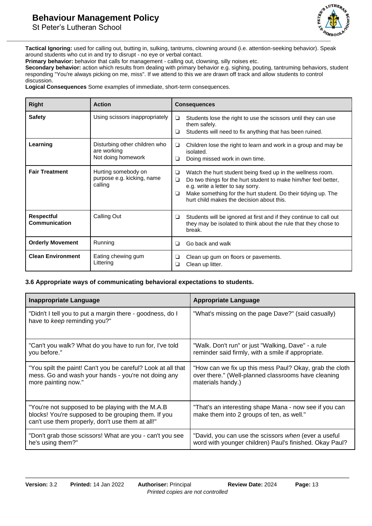

**Tactical Ignoring:** used for calling out, butting in, sulking, tantrums, clowning around (i.e. attention-seeking behavior). Speak around students who cut in and try to disrupt - no eye or verbal contact.

**Primary behavior:** behavior that calls for management - calling out, clowning, silly noises etc.

**Secondary behavior:** action which results from dealing with primary behavior e.g. sighing, pouting, tantruming behaviors, student responding "You're always picking on me, miss". If we attend to this we are drawn off track and allow students to control discussion.

**Logical Consequences** Some examples of immediate, short-term consequences.

| <b>Right</b>                              | <b>Action</b>                                                      |             | <b>Consequences</b>                                                                                                                                                                                                                                                               |
|-------------------------------------------|--------------------------------------------------------------------|-------------|-----------------------------------------------------------------------------------------------------------------------------------------------------------------------------------------------------------------------------------------------------------------------------------|
| <b>Safety</b>                             | Using scissors inappropriately                                     | □<br>□      | Students lose the right to use the scissors until they can use<br>them safely.<br>Students will need to fix anything that has been ruined.                                                                                                                                        |
| Learning                                  | Disturbing other children who<br>are working<br>Not doing homework | ❏<br>⊔      | Children lose the right to learn and work in a group and may be<br>isolated.<br>Doing missed work in own time.                                                                                                                                                                    |
| <b>Fair Treatment</b>                     | Hurting somebody on<br>purpose e.g. kicking, name<br>calling       | ❏<br>❏<br>⊔ | Watch the hurt student being fixed up in the wellness room.<br>Do two things for the hurt student to make him/her feel better,<br>e.g. write a letter to say sorry.<br>Make something for the hurt student. Do their tidying up. The<br>hurt child makes the decision about this. |
| <b>Respectful</b><br><b>Communication</b> | Calling Out                                                        | ❏           | Students will be ignored at first and if they continue to call out<br>they may be isolated to think about the rule that they chose to<br>break.                                                                                                                                   |
| <b>Orderly Movement</b>                   | Running                                                            | ◻           | Go back and walk                                                                                                                                                                                                                                                                  |
| <b>Clean Environment</b>                  | Eating chewing gum<br>Littering                                    | ⊔<br>ப      | Clean up gum on floors or pavements.<br>Clean up litter.                                                                                                                                                                                                                          |

### **3.6 Appropriate ways of communicating behavioral expectations to students.**

| <b>Inappropriate Language</b>                                                                                                                                | <b>Appropriate Language</b>                                                                         |
|--------------------------------------------------------------------------------------------------------------------------------------------------------------|-----------------------------------------------------------------------------------------------------|
| "Didn't I tell you to put a margin there - goodness, do I<br>have to keep reminding you?"                                                                    | "What's missing on the page Dave?" (said casually)                                                  |
| "Can't you walk? What do you have to run for, I've told                                                                                                      | "Walk. Don't run" or just "Walking, Dave" - a rule                                                  |
| you before."                                                                                                                                                 | reminder said firmly, with a smile if appropriate.                                                  |
| "You spilt the paint! Can't you be careful? Look at all that                                                                                                 | "How can we fix up this mess Paul? Okay, grab the cloth                                             |
| mess. Go and wash your hands - you're not doing any                                                                                                          | over there." (Well-planned classrooms have cleaning                                                 |
| more painting now."                                                                                                                                          | materials handy.)                                                                                   |
| "You're not supposed to be playing with the M.A.B<br>blocks! You're supposed to be grouping them. If you<br>can't use them properly, don't use them at all!" | "That's an interesting shape Mana - now see if you can<br>make them into 2 groups of ten, as well." |
| "Don't grab those scissors! What are you - can't you see                                                                                                     | "David, you can use the scissors when (ever a useful                                                |
| he's using them?"                                                                                                                                            | word with younger children) Paul's finished. Okay Paul?                                             |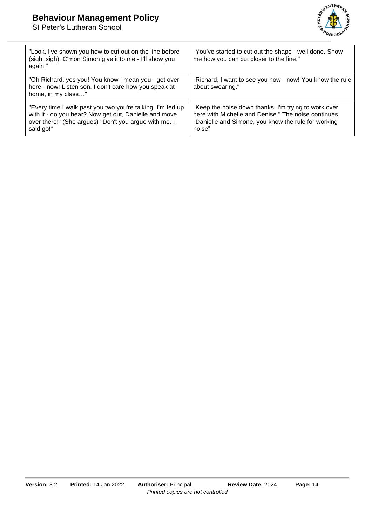

| "Look, I've shown you how to cut out on the line before<br>(sigh, sigh). C'mon Simon give it to me - I'll show you<br>again!"                                                             | "You've started to cut out the shape - well done. Show<br>me how you can cut closer to the line."                                                                             |
|-------------------------------------------------------------------------------------------------------------------------------------------------------------------------------------------|-------------------------------------------------------------------------------------------------------------------------------------------------------------------------------|
| "Oh Richard, yes you! You know I mean you - get over<br>here - now! Listen son. I don't care how you speak at<br>home, in my class"                                                       | "Richard, I want to see you now - now! You know the rule<br>about swearing."                                                                                                  |
| "Every time I walk past you two you're talking. I'm fed up<br>with it - do you hear? Now get out, Danielle and move<br>over there!" (She argues) "Don't you argue with me. I<br>said go!" | "Keep the noise down thanks. I'm trying to work over<br>here with Michelle and Denise." The noise continues.<br>"Danielle and Simone, you know the rule for working<br>noise" |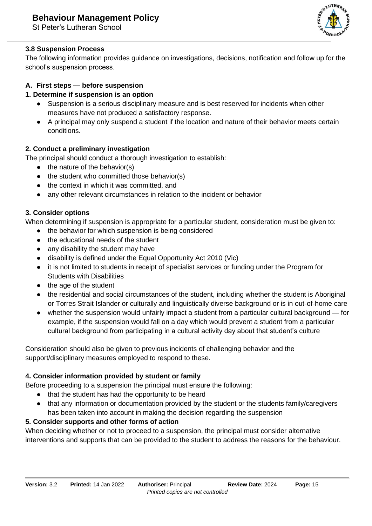

### **3.8 Suspension Process**

The following information provides guidance on investigations, decisions, notification and follow up for the school's suspension process.

### **A. First steps — before suspension**

### **1. Determine if suspension is an option**

- Suspension is a serious disciplinary measure and is best reserved for incidents when other measures have not produced a satisfactory response.
- A principal may only suspend a student if the location and nature of their behavior meets certain conditions.

### **2. Conduct a preliminary investigation**

The principal should conduct a thorough investigation to establish:

- $\bullet$  the nature of the behavior(s)
- the student who committed those behavior(s)
- the context in which it was committed, and
- any other relevant circumstances in relation to the incident or behavior

### **3. Consider options**

When determining if suspension is appropriate for a particular student, consideration must be given to:

- the behavior for which suspension is being considered
- the educational needs of the student
- any disability the student may have
- disability is defined under the Equal Opportunity Act 2010 (Vic)
- it is not limited to students in receipt of specialist services or funding under the Program for Students with Disabilities
- the age of the student
- the residential and social circumstances of the student, including whether the student is Aboriginal or Torres Strait Islander or culturally and linguistically diverse background or is in out-of-home care
- whether the suspension would unfairly impact a student from a particular cultural background for example, if the suspension would fall on a day which would prevent a student from a particular cultural background from participating in a cultural activity day about that student's culture

Consideration should also be given to previous incidents of challenging behavior and the support/disciplinary measures employed to respond to these.

## **4. Consider information provided by student or family**

Before proceeding to a suspension the principal must ensure the following:

- that the student has had the opportunity to be heard
- that any information or documentation provided by the student or the students family/caregivers has been taken into account in making the decision regarding the suspension

## **5. Consider supports and other forms of action**

When deciding whether or not to proceed to a suspension, the principal must consider alternative interventions and supports that can be provided to the student to address the reasons for the behaviour.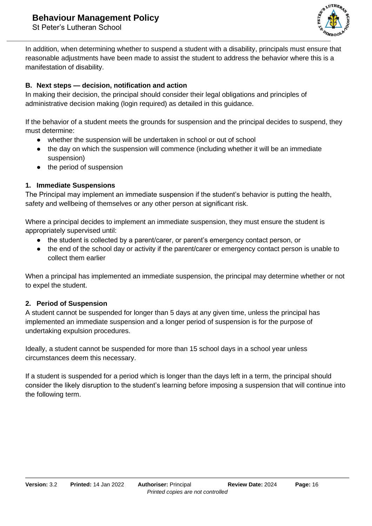

In addition, when determining whether to suspend a student with a disability, principals must ensure that reasonable adjustments have been made to assist the student to address the behavior where this is a manifestation of disability.

### **B. Next steps — decision, notification and action**

In making their decision, the principal should consider their legal obligations and principles of administrative decision making (login required) as detailed in this guidance.

If the behavior of a student meets the grounds for suspension and the principal decides to suspend, they must determine:

- whether the suspension will be undertaken in school or out of school
- the day on which the suspension will commence (including whether it will be an immediate suspension)
- the period of suspension

### **1. Immediate Suspensions**

The Principal may implement an immediate suspension if the student's behavior is putting the health, safety and wellbeing of themselves or any other person at significant risk.

Where a principal decides to implement an immediate suspension, they must ensure the student is appropriately supervised until:

- the student is collected by a parent/carer, or parent's emergency contact person, or
- the end of the school day or activity if the parent/carer or emergency contact person is unable to collect them earlier

When a principal has implemented an immediate suspension, the principal may determine whether or not to expel the student.

### **2. Period of Suspension**

A student cannot be suspended for longer than 5 days at any given time, unless the principal has implemented an immediate suspension and a longer period of suspension is for the purpose of undertaking expulsion procedures.

Ideally, a student cannot be suspended for more than 15 school days in a school year unless circumstances deem this necessary.

If a student is suspended for a period which is longer than the days left in a term, the principal should consider the likely disruption to the student's learning before imposing a suspension that will continue into the following term.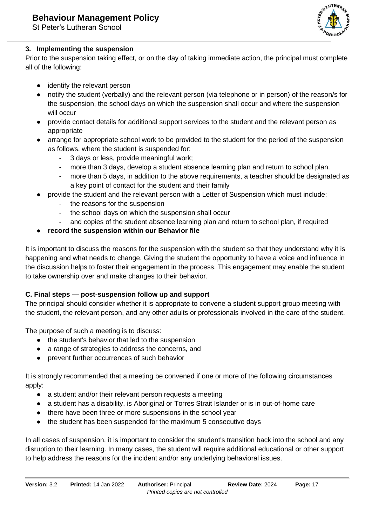

### **3. Implementing the suspension**

Prior to the suspension taking effect, or on the day of taking immediate action, the principal must complete all of the following:

- identify the relevant person
- notify the student (verbally) and the relevant person (via telephone or in person) of the reason/s for the suspension, the school days on which the suspension shall occur and where the suspension will occur
- provide contact details for additional support services to the student and the relevant person as appropriate
- arrange for appropriate school work to be provided to the student for the period of the suspension as follows, where the student is suspended for:
	- 3 days or less, provide meaningful work;
	- more than 3 days, develop a student absence learning plan and return to school plan.
	- more than 5 days, in addition to the above requirements, a teacher should be designated as a key point of contact for the student and their family
- provide the student and the relevant person with a Letter of Suspension which must include:
	- the reasons for the suspension
	- the school days on which the suspension shall occur
	- and copies of the student absence learning plan and return to school plan, if required
- **record the suspension within our Behavior file**

It is important to discuss the reasons for the suspension with the student so that they understand why it is happening and what needs to change. Giving the student the opportunity to have a voice and influence in the discussion helps to foster their engagement in the process. This engagement may enable the student to take ownership over and make changes to their behavior.

### **C. Final steps — post-suspension follow up and support**

The principal should consider whether it is appropriate to convene a student support group meeting with the student, the relevant person, and any other adults or professionals involved in the care of the student.

The purpose of such a meeting is to discuss:

- the student's behavior that led to the suspension
- a range of strategies to address the concerns, and
- prevent further occurrences of such behavior

It is strongly recommended that a meeting be convened if one or more of the following circumstances apply:

- a student and/or their relevant person requests a meeting
- a student has a disability, is Aboriginal or Torres Strait Islander or is in out-of-home care
- there have been three or more suspensions in the school year
- the student has been suspended for the maximum 5 consecutive days

In all cases of suspension, it is important to consider the student's transition back into the school and any disruption to their learning. In many cases, the student will require additional educational or other support to help address the reasons for the incident and/or any underlying behavioral issues.